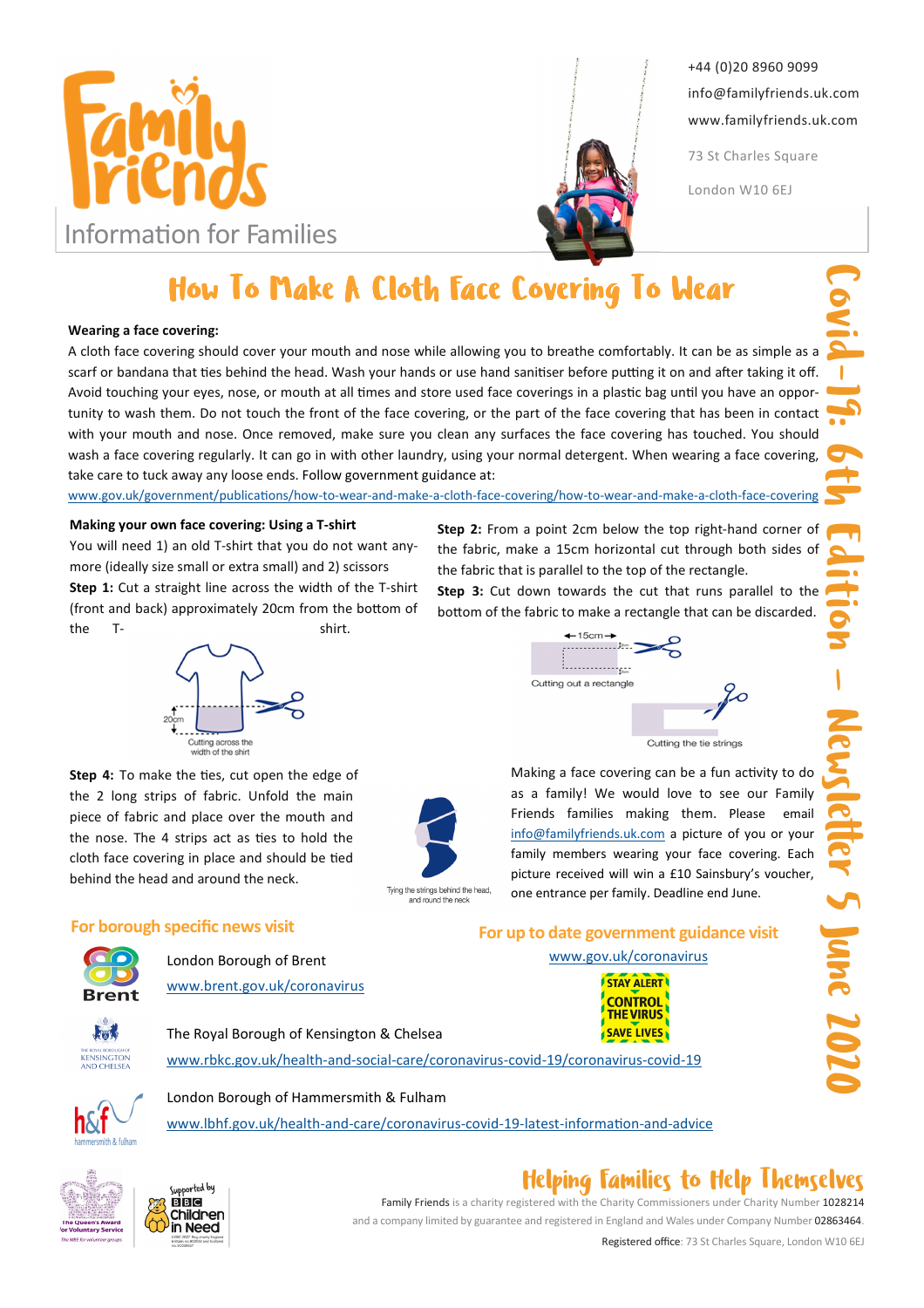



+44 (0)20 8960 9099 info@familyfriends.uk.com www.familyfriends.uk.com

73 St Charles Square

London W10 6EJ

# How To Make A Cloth Face Covering To Wear

#### Wearing a face covering:

A cloth face covering should cover your mouth and nose while allowing you to breathe comfortably. It can be as simple as a scarf or bandana that ties behind the head. Wash your hands or use hand sanitiser before putting it on and after taking it off. Avoid touching your eyes, nose, or mouth at all times and store used face coverings in a plastic bag until you have an opportunity to wash them. Do not touch the front of the face covering, or the part of the face covering that has been in contact with your mouth and nose. Once removed, make sure you clean any surfaces the face covering has touched. You should wash a face covering regularly. It can go in with other laundry, using your normal detergent. When wearing a face covering, take care to tuck away any loose ends. Follow government guidance at:

www.gov.uk/government/publications/how-to-wear-and-make-a-cloth-face-covering/how-to-wear-and-make-a-cloth-face-covering

#### Making your own face covering: Using a T-shirt

You will need 1) an old T-shirt that you do not want anymore (ideally size small or extra small) and 2) scissors Step 1: Cut a straight line across the width of the T-shirt (front and back) approximately 20cm from the bottom of the T- shirt.



Step 4: To make the ties, cut open the edge of the 2 long strips of fabric. Unfold the main piece of fabric and place over the mouth and the nose. The 4 strips act as ties to hold the cloth face covering in place and should be tied behind the head and around the neck.



Step 2: From a point 2cm below the top right-hand corner of the fabric, make a 15cm horizontal cut through both sides of the fabric that is parallel to the top of the rectangle.

Step 3: Cut down towards the cut that runs parallel to the bottom of the fabric to make a rectangle that can be discarded.



For up to date government guidance visit www.gov.uk/coronavirus

Making a face covering can be a fun activity to do as a family! We would love to see our Family Friends families making them. Please email info@familyfriends.uk.com a picture of you or your family members wearing your face covering. Each picture received will win a £10 Sainsbury's voucher, one entrance per family. Deadline end June.

### For borough specific news visit



London Borough of Brent www.brent.gov.uk/coronavirus



The Royal Borough of Kensington & Chelsea www.rbkc.gov.uk/health-and-social-care/coronavirus-covid-19/coronavirus-covid-19





www.lbhf.gov.uk/health-and-care/coronavirus-covid-19-latest-information-and-advice





## Helping Families to Help Themselves

Family Friends is a charity registered with the Charity Commissioners under Charity Number 1028214 and a company limited by guarantee and registered in England and Wales under Company Number 02863464.